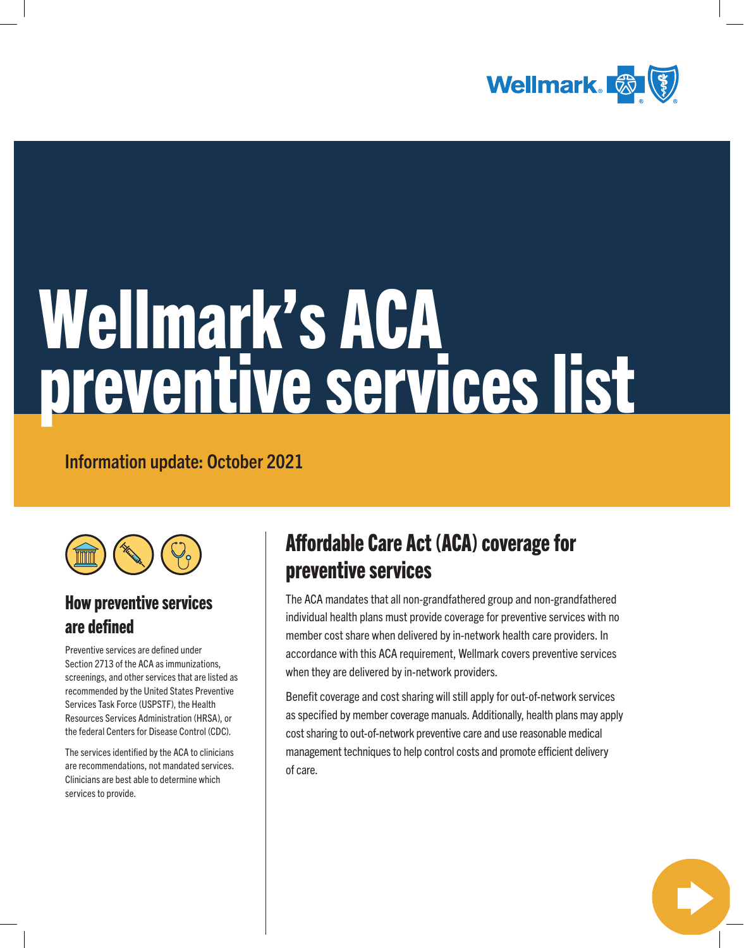

# Wellmark's ACA preventive services list

Information update: October 2021



## How preventive services are defined

Preventive services are defined under Section 2713 of the ACA as immunizations, screenings, and other services that are listed as recommended by the United States Preventive Services Task Force (USPSTF), the Health Resources Services Administration (HRSA), or the federal Centers for Disease Control (CDC).

The services identified by the ACA to clinicians are recommendations, not mandated services. Clinicians are best able to determine which services to provide.

# Affordable Care Act (ACA) coverage for preventive services

The ACA mandates that all non-grandfathered group and non-grandfathered individual health plans must provide coverage for preventive services with no member cost share when delivered by in-network health care providers. In accordance with this ACA requirement, Wellmark covers preventive services when they are delivered by in-network providers.

Benefit coverage and cost sharing will still apply for out-of-network services as specified by member coverage manuals. Additionally, health plans may apply cost sharing to out-of-network preventive care and use reasonable medical management techniques to help control costs and promote efficient delivery of care.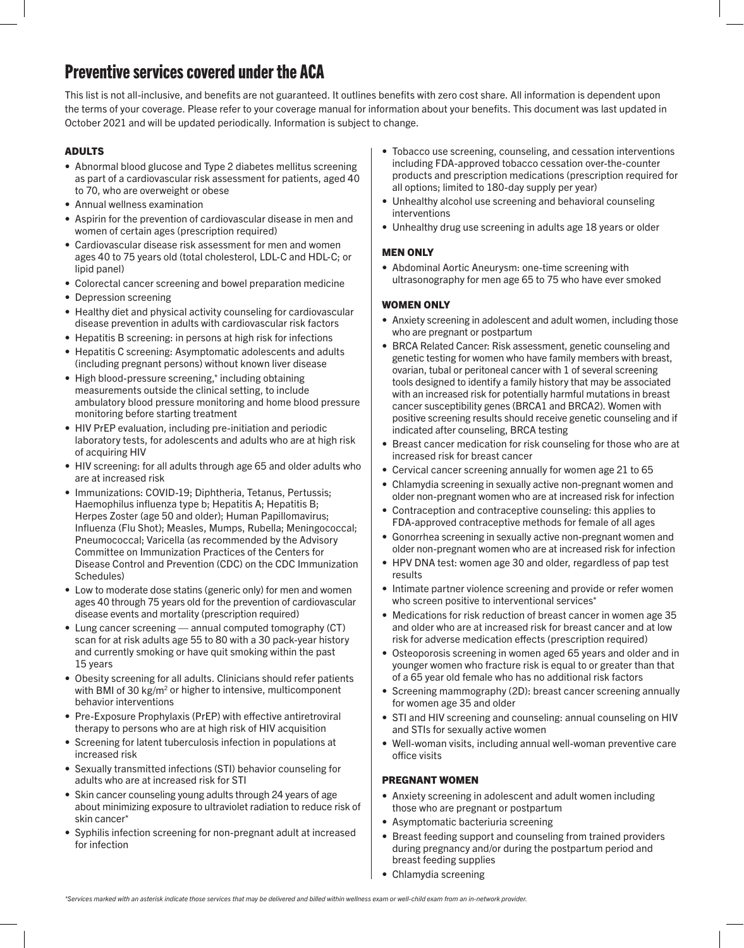### Preventive services covered under the ACA

This list is not all-inclusive, and benefits are not guaranteed. It outlines benefits with zero cost share. All information is dependent upon the terms of your coverage. Please refer to your coverage manual for information about your benefits. This document was last updated in October 2021 and will be updated periodically. Information is subject to change.

#### ADULTS

- Abnormal blood glucose and Type 2 diabetes mellitus screening as part of a cardiovascular risk assessment for patients, aged 40 to 70, who are overweight or obese
- Annual wellness examination
- Aspirin for the prevention of cardiovascular disease in men and women of certain ages (prescription required)
- Cardiovascular disease risk assessment for men and women ages 40 to 75 years old (total cholesterol, LDL-C and HDL-C; or lipid panel)
- Colorectal cancer screening and bowel preparation medicine
- Depression screening
- Healthy diet and physical activity counseling for cardiovascular disease prevention in adults with cardiovascular risk factors
- Hepatitis B screening: in persons at high risk for infections
- Hepatitis C screening: Asymptomatic adolescents and adults (including pregnant persons) without known liver disease
- High blood-pressure screening,[\\*](#page-1-0) including obtaining measurements outside the clinical setting, to include ambulatory blood pressure monitoring and home blood pressure monitoring before starting treatment
- HIV PrEP evaluation, including pre-initiation and periodic laboratory tests, for adolescents and adults who are at high risk of acquiring HIV
- HIV screening: for all adults through age 65 and older adults who are at increased risk
- Immunizations: COVID-19; Diphtheria, Tetanus, Pertussis; Haemophilus influenza type b; Hepatitis A; Hepatitis B; Herpes Zoster (age 50 and older); Human Papillomavirus; Influenza (Flu Shot); Measles, Mumps, Rubella; Meningococcal; Pneumococcal; Varicella (as recommended by the Advisory Committee on Immunization Practices of the Centers for Disease Control and Prevention (CDC) on the CDC Immunization Schedules)
- Low to moderate dose statins (generic only) for men and women ages 40 through 75 years old for the prevention of cardiovascular disease events and mortality (prescription required)
- Lung cancer screening annual computed tomography (CT) scan for at risk adults age 55 to 80 with a 30 pack-year history and currently smoking or have quit smoking within the past 15 years
- Obesity screening for all adults. Clinicians should refer patients with BMI of 30 kg/m<sup>2</sup> or higher to intensive, multicomponent behavior interventions
- Pre-Exposure Prophylaxis (PrEP) with effective antiretroviral therapy to persons who are at high risk of HIV acquisition
- Screening for latent tuberculosis infection in populations at increased risk
- Sexually transmitted infections (STI) behavior counseling for adults who are at increased risk for STI
- Skin cancer counseling young adults through 24 years of age about minimizing exposure to ultraviolet radiation to reduce risk of skin cancer[\\*](#page-1-0)
- <span id="page-1-0"></span>• Syphilis infection screening for non-pregnant adult at increased for infection
- Tobacco use screening, counseling, and cessation interventions including FDA-approved tobacco cessation over-the-counter products and prescription medications (prescription required for all options; limited to 180-day supply per year)
- Unhealthy alcohol use screening and behavioral counseling interventions
- Unhealthy drug use screening in adults age 18 years or older

#### MEN ONLY

• Abdominal Aortic Aneurysm: one-time screening with ultrasonography for men age 65 to 75 who have ever smoked

#### WOMEN ONLY

- Anxiety screening in adolescent and adult women, including those who are pregnant or postpartum
- BRCA Related Cancer: Risk assessment, genetic counseling and genetic testing for women who have family members with breast, ovarian, tubal or peritoneal cancer with 1 of several screening tools designed to identify a family history that may be associated with an increased risk for potentially harmful mutations in breast cancer susceptibility genes (BRCA1 and BRCA2). Women with positive screening results should receive genetic counseling and if indicated after counseling, BRCA testing
- Breast cancer medication for risk counseling for those who are at increased risk for breast cancer
- Cervical cancer screening annually for women age 21 to 65
- Chlamydia screening in sexually active non-pregnant women and older non-pregnant women who are at increased risk for infection
- Contraception and contraceptive counseling: this applies to FDA-approved contraceptive methods for female of all ages
- Gonorrhea screening in sexually active non-pregnant women and older non-pregnant women who are at increased risk for infection
- HPV DNA test: women age 30 and older, regardless of pap test results
- Intimate partner violence screening and provide or refer women who screen positive to interventional services[\\*](#page-1-0)
- Medications for risk reduction of breast cancer in women age 35 and older who are at increased risk for breast cancer and at low risk for adverse medication effects (prescription required)
- Osteoporosis screening in women aged 65 years and older and in younger women who fracture risk is equal to or greater than that of a 65 year old female who has no additional risk factors
- Screening mammography (2D): breast cancer screening annually for women age 35 and older
- STI and HIV screening and counseling: annual counseling on HIV and STIs for sexually active women
- Well-woman visits, including annual well-woman preventive care office visits

#### PREGNANT WOMEN

- Anxiety screening in adolescent and adult women including those who are pregnant or postpartum
- Asymptomatic bacteriuria screening
- Breast feeding support and counseling from trained providers during pregnancy and/or during the postpartum period and breast feeding supplies
- Chlamydia screening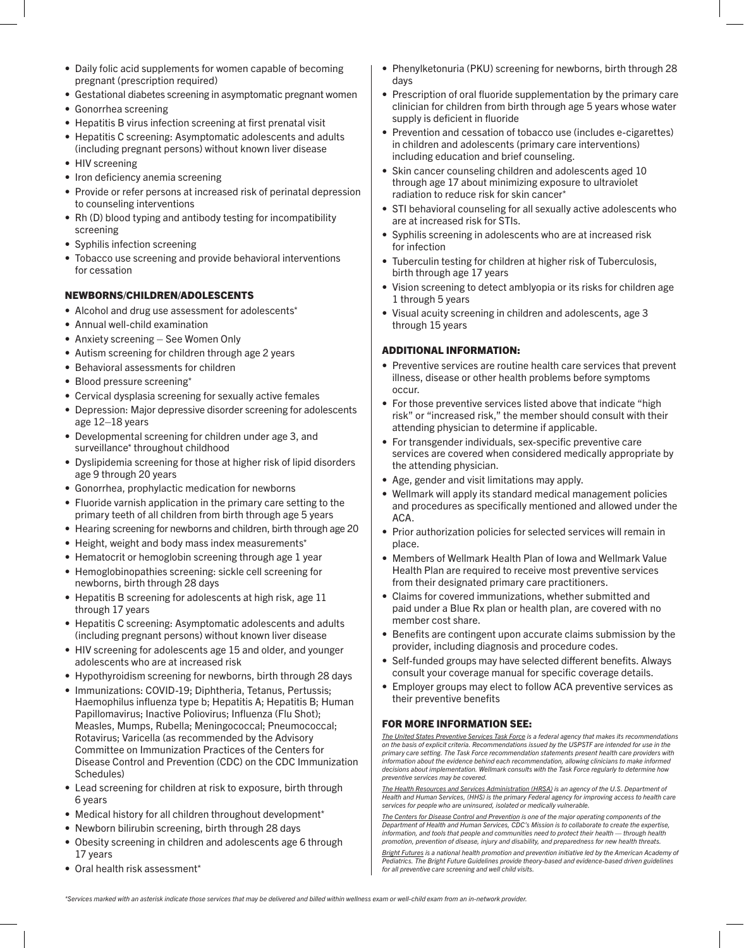- Daily folic acid supplements for women capable of becoming pregnant (prescription required)
- Gestational diabetes screening in asymptomatic pregnant women
- Gonorrhea screening
- Hepatitis B virus infection screening at first prenatal visit
- Hepatitis C screening: Asymptomatic adolescents and adults (including pregnant persons) without known liver disease
- HIV screening
- Iron deficiency anemia screening
- Provide or refer persons at increased risk of perinatal depression to counseling interventions
- Rh (D) blood typing and antibody testing for incompatibility screening
- Syphilis infection screening
- Tobacco use screening and provide behavioral interventions for cessation

#### NEWBORNS/CHILDREN/ADOLESCENTS

- Alcohol and drug use assessment for adolescents[\\*](#page-2-0)
- Annual well-child examination
- Anxiety screening See Women Only
- Autism screening for children through age 2 years
- Behavioral assessments for children
- Blood pressure screening[\\*](#page-2-0)
- Cervical dysplasia screening for sexually active females
- Depression: Major depressive disorder screening for adolescents age 12–18 years
- Developmental screening for children under age 3, and surveillance[\\*](#page-2-0) throughout childhood
- Dyslipidemia screening for those at higher risk of lipid disorders age 9 through 20 years
- Gonorrhea, prophylactic medication for newborns
- Fluoride varnish application in the primary care setting to the primary teeth of all children from birth through age 5 years
- Hearing screening for newborns and children, birth through age 20
- Height, weight and body mass index measurements[\\*](#page-2-0)
- Hematocrit or hemoglobin screening through age 1 year
- Hemoglobinopathies screening: sickle cell screening for newborns, birth through 28 days
- Hepatitis B screening for adolescents at high risk, age 11 through 17 years
- Hepatitis C screening: Asymptomatic adolescents and adults (including pregnant persons) without known liver disease
- HIV screening for adolescents age 15 and older, and younger adolescents who are at increased risk
- Hypothyroidism screening for newborns, birth through 28 days
- Immunizations: COVID-19; Diphtheria, Tetanus, Pertussis; Haemophilus influenza type b; Hepatitis A; Hepatitis B; Human Papillomavirus; Inactive Poliovirus; Influenza (Flu Shot); Measles, Mumps, Rubella; Meningococcal; Pneumococcal; Rotavirus; Varicella (as recommended by the Advisory Committee on Immunization Practices of the Centers for Disease Control and Prevention (CDC) on the CDC Immunization Schedules)
- Lead screening for children at risk to exposure, birth through 6 years
- Medical history for all children throughout development[\\*](#page-2-0)
- Newborn bilirubin screening, birth through 28 days
- Obesity screening in children and adolescents age 6 through 17 years
- <span id="page-2-0"></span>• Oral health risk assessment[\\*](#page-2-0)
- Phenylketonuria (PKU) screening for newborns, birth through 28 days
- Prescription of oral fluoride supplementation by the primary care clinician for children from birth through age 5 years whose water supply is deficient in fluoride
- Prevention and cessation of tobacco use (includes e-cigarettes) in children and adolescents (primary care interventions) including education and brief counseling.
- Skin cancer counseling children and adolescents aged 10 through age 17 about minimizing exposure to ultraviolet radiation to reduce risk for skin cancer[\\*](#page-2-0)
- STI behavioral counseling for all sexually active adolescents who are at increased risk for STIs.
- Syphilis screening in adolescents who are at increased risk for infection
- Tuberculin testing for children at higher risk of Tuberculosis, birth through age 17 years
- Vision screening to detect amblyopia or its risks for children age 1 through 5 years
- Visual acuity screening in children and adolescents, age 3 through 15 years

#### ADDITIONAL INFORMATION:

- Preventive services are routine health care services that prevent illness, disease or other health problems before symptoms occur.
- For those preventive services listed above that indicate "high risk" or "increased risk," the member should consult with their attending physician to determine if applicable.
- For transgender individuals, sex-specific preventive care services are covered when considered medically appropriate by the attending physician.
- Age, gender and visit limitations may apply.
- Wellmark will apply its standard medical management policies and procedures as specifically mentioned and allowed under the ACA.
- Prior authorization policies for selected services will remain in place.
- Members of Wellmark Health Plan of Iowa and Wellmark Value Health Plan are required to receive most preventive services from their designated primary care practitioners.
- Claims for covered immunizations, whether submitted and paid under a Blue Rx plan or health plan, are covered with no member cost share.
- Benefits are contingent upon accurate claims submission by the provider, including diagnosis and procedure codes.
- Self-funded groups may have selected different benefits. Always consult your coverage manual for specific coverage details.
- Employer groups may elect to follow ACA preventive services as their preventive benefits

#### FOR MORE INFORMATION SEE:

*[The United States Preventive Services Task Force](http://www.uspreventiveservicestaskforce.org/Page/Name/uspstf-a-and-b-recommendations-by-date/) is a federal agency that makes its recommendations on the basis of explicit criteria. Recommendations issued by the USPSTF are intended for use in the primary care setting. The Task Force recommendation statements present health care providers with information about the evidence behind each recommendation, allowing clinicians to make informed decisions about implementation. Wellmark consults with the Task Force regularly to determine how preventive services may be covered.*

*[The Health Resources and Services Administration \(HRSA\)](http://www.hrsa.gov/index.html) is an agency of the U.S. Department of Health and Human Services, (HHS) is the primary Federal agency for improving access to health care services for people who are uninsured, isolated or medically vulnerable.*

*[The Centers for Disease Control and Prevention](http://www.cdc.gov/) is one of the major operating components of the Department of Health and Human Services, CDC's Mission is to collaborate to create the expertise, information, and tools that people and communities need to protect their health — through health promotion, prevention of disease, injury and disability, and preparedness for new health threats.*

*[Bright Futures](https://www.aap.org/en-us/Documents/periodicity_schedule.pdf) is a national health promotion and prevention initiative led by the American Academy of Pediatrics. The Bright Future Guidelines provide theory-based and evidence-based driven guidelines for all preventive care screening and well child visits.*